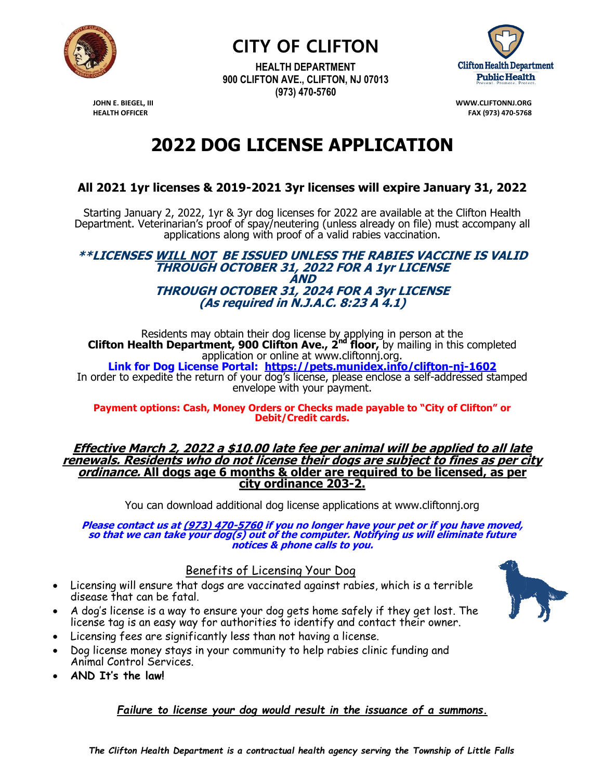

**CITY OF CLIFTON**

**HEALTH DEPARTMENT 900 CLIFTON AVE., CLIFTON, NJ 07013 (973) 470-5760**



**JOHN E. BIEGEL, III WWW.CLIFTONNJ.ORG HEALTH OFFICER FAX (973) 470-5768**

# **2022 DOG LICENSE APPLICATION**

## **All 2021 1yr licenses & 2019-2021 3yr licenses will expire January 31, 2022**

Starting January 2, 2022, 1yr & 3yr dog licenses for 2022 are available at the Clifton Health Department. Veterinarian's proof of spay/neutering (unless already on file) must accompany all applications along with proof of a valid rabies vaccination.

#### **\*\*LICENSES WILL NOT BE ISSUED UNLESS THE RABIES VACCINE IS VALID THROUGH OCTOBER 31, 2022 FOR A 1yr LICENSE AND THROUGH OCTOBER 31, 2024 FOR A 3yr LICENSE (As required in N.J.A.C. 8:23 A 4.1)**

Residents may obtain their dog license by applying in person at the **Clifton Health Department, 900 Clifton Ave., 2nd floor,** by mailing in this completed application or online at www.cliftonnj.org.

**Link for Dog License Portal: https://pets.munidex.info/clifton-nj-1602** In order to expedite the return of your dog's license, please enclose a self-addressed stamped envelope with your payment.

**Payment options: Cash, Money Orders or Checks made payable to "City of Clifton" or Debit/Credit cards.**

**Effective March 2, 2022 a \$10.00 late fee per animal will be applied to all late renewals. Residents who do not license their dogs are subject to fines as per city ordinance. All dogs age 6 months & older are required to be licensed, as per city ordinance 203-2.**

You can download additional dog license applications at www.cliftonnj.org

**Please contact us at (973) 470-5760 if you no longer have your pet or if you have moved, so that we can take your dog(s) out of the computer. Notifying us will eliminate future notices & phone calls to you.**

### Benefits of Licensing Your Dog

- Licensing will ensure that dogs are vaccinated against rabies, which is a terrible disease that can be fatal.
- A dog's license is a way to ensure your dog gets home safely if they get lost. The license tag is an easy way for authorities to identify and contact their owner.
- Licensing fees are significantly less than not having a license.
- Dog license money stays in your community to help rabies clinic funding and Animal Control Services.
- **AND It's the law!**

#### *Failure to license your dog would result in the issuance of a summons.*